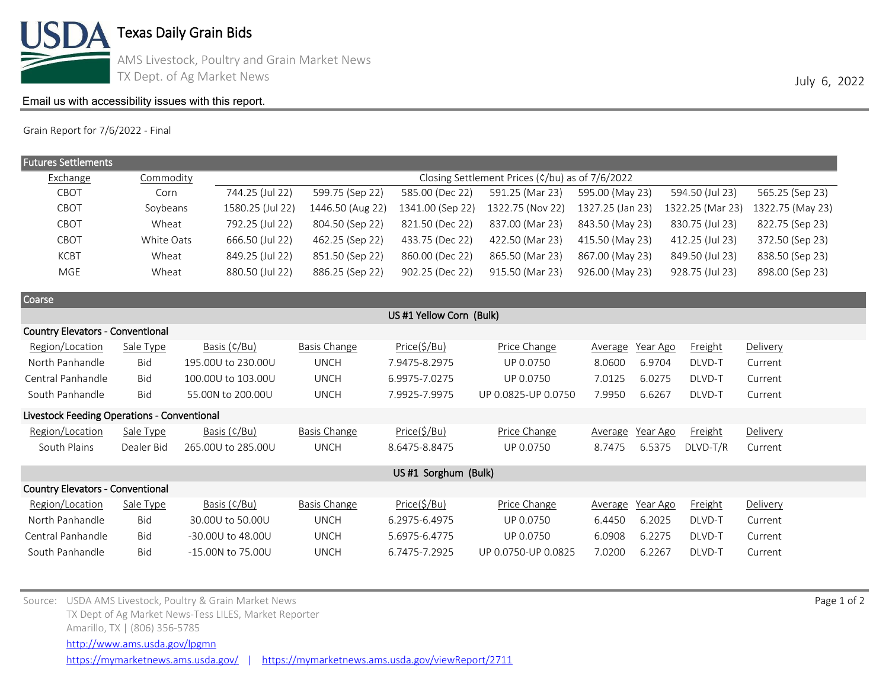

Texas Daily Grain Bids

AMS Livestock, Poultry and Grain Market News TX Dept. of Ag Market News 3000 and the Unit of Agents 2022

## [Email us with accessibility issues with this report.](mailto:mars@ams.usda.gov?subjectNot%20able%20to%20access%20video%20auction%20report)

Grain Report for 7/6/2022 - Final

| <b>Futures Settlements</b>                  |            |                    |                                                 |                  |                     |                     |                  |                  |  |  |  |
|---------------------------------------------|------------|--------------------|-------------------------------------------------|------------------|---------------------|---------------------|------------------|------------------|--|--|--|
| Exchange                                    | Commodity  |                    | Closing Settlement Prices (¢/bu) as of 7/6/2022 |                  |                     |                     |                  |                  |  |  |  |
| CBOT                                        | Corn       | 744.25 (Jul 22)    | 599.75 (Sep 22)                                 | 585.00 (Dec 22)  | 591.25 (Mar 23)     | 595.00 (May 23)     | 594.50 (Jul 23)  | 565.25 (Sep 23)  |  |  |  |
| CBOT                                        | Soybeans   | 1580.25 (Jul 22)   | 1446.50 (Aug 22)                                | 1341.00 (Sep 22) | 1322.75 (Nov 22)    | 1327.25 (Jan 23)    | 1322.25 (Mar 23) | 1322.75 (May 23) |  |  |  |
| CBOT                                        | Wheat      | 792.25 (Jul 22)    | 804.50 (Sep 22)                                 | 821.50 (Dec 22)  | 837.00 (Mar 23)     | 843.50 (May 23)     | 830.75 (Jul 23)  | 822.75 (Sep 23)  |  |  |  |
| CBOT                                        | White Oats | 666.50 (Jul 22)    | 462.25 (Sep 22)                                 | 433.75 (Dec 22)  | 422.50 (Mar 23)     | 415.50 (May 23)     | 412.25 (Jul 23)  | 372.50 (Sep 23)  |  |  |  |
| <b>KCBT</b>                                 | Wheat      | 849.25 (Jul 22)    | 851.50 (Sep 22)                                 | 860.00 (Dec 22)  | 865.50 (Mar 23)     | 867.00 (May 23)     | 849.50 (Jul 23)  | 838.50 (Sep 23)  |  |  |  |
| <b>MGE</b>                                  | Wheat      | 880.50 (Jul 22)    | 886.25 (Sep 22)                                 | 902.25 (Dec 22)  | 915.50 (Mar 23)     | 926.00 (May 23)     | 928.75 (Jul 23)  | 898.00 (Sep 23)  |  |  |  |
| Coarse                                      |            |                    |                                                 |                  |                     |                     |                  |                  |  |  |  |
| US #1 Yellow Corn (Bulk)                    |            |                    |                                                 |                  |                     |                     |                  |                  |  |  |  |
| <b>Country Elevators - Conventional</b>     |            |                    |                                                 |                  |                     |                     |                  |                  |  |  |  |
| Region/Location                             | Sale Type  | Basis (¢/Bu)       | <b>Basis Change</b>                             | Price(5/Bu)      | Price Change        | Year Ago<br>Average | Freight          | Delivery         |  |  |  |
| North Panhandle                             | Bid        | 195.00U to 230.00U | <b>UNCH</b>                                     | 7.9475-8.2975    | UP 0.0750           | 6.9704<br>8.0600    | DLVD-T           | Current          |  |  |  |
| Central Panhandle                           | <b>Bid</b> | 100.00U to 103.00U | <b>UNCH</b>                                     | 6.9975-7.0275    | UP 0.0750           | 7.0125<br>6.0275    | DLVD-T           | Current          |  |  |  |
| South Panhandle                             | Bid        | 55.00N to 200.00U  | <b>UNCH</b>                                     | 7.9925-7.9975    | UP 0.0825-UP 0.0750 | 7.9950<br>6.6267    | DLVD-T           | Current          |  |  |  |
| Livestock Feeding Operations - Conventional |            |                    |                                                 |                  |                     |                     |                  |                  |  |  |  |
| Region/Location                             | Sale Type  | Basis (¢/Bu)       | <b>Basis Change</b>                             | Price(\$/Bu)     | Price Change        | Year Ago<br>Average | Freight          | Delivery         |  |  |  |
| South Plains                                | Dealer Bid | 265.00U to 285.00U | <b>UNCH</b>                                     | 8.6475-8.8475    | UP 0.0750           | 8.7475<br>6.5375    | DLVD-T/R         | Current          |  |  |  |
| US #1 Sorghum (Bulk)                        |            |                    |                                                 |                  |                     |                     |                  |                  |  |  |  |
| <b>Country Elevators - Conventional</b>     |            |                    |                                                 |                  |                     |                     |                  |                  |  |  |  |
| Region/Location                             | Sale Type  | Basis (¢/Bu)       | <b>Basis Change</b>                             | Price(\$/Bu)     | Price Change        | Year Ago<br>Average | <b>Freight</b>   | Delivery         |  |  |  |
| North Panhandle                             | Bid        | 30,00U to 50,00U   | <b>UNCH</b>                                     | 6.2975-6.4975    | UP 0.0750           | 6.4450<br>6.2025    | DLVD-T           | Current          |  |  |  |
| Central Panhandle                           | <b>Bid</b> | -30.00U to 48.00U  | <b>UNCH</b>                                     | 5.6975-6.4775    | UP 0.0750           | 6.0908<br>6.2275    | DLVD-T           | Current          |  |  |  |
| South Panhandle                             | Bid        | -15.00N to 75.00U  | <b>UNCH</b>                                     | 6.7475-7.2925    | UP 0.0750-UP 0.0825 | 6.2267<br>7.0200    | DLVD-T           | Current          |  |  |  |

Source: USDA AMS Livestock, Poultry & Grain Market News Page 1 of 2 and 2008 and 2008 and 2008 and 2008 and 2008 and 2008 and 2008 and 2008 and 2008 and 2008 and 2008 and 2008 and 2008 and 2008 and 2008 and 2008 and 2008 a TX Dept of Ag Market News-Tess LILES, Market Reporter Amarillo, TX | (806) 356-5785 <https://mymarketnews.ams.usda.gov/> | <https://mymarketnews.ams.usda.gov/viewReport/2711> <http://www.ams.usda.gov/lpgmn>